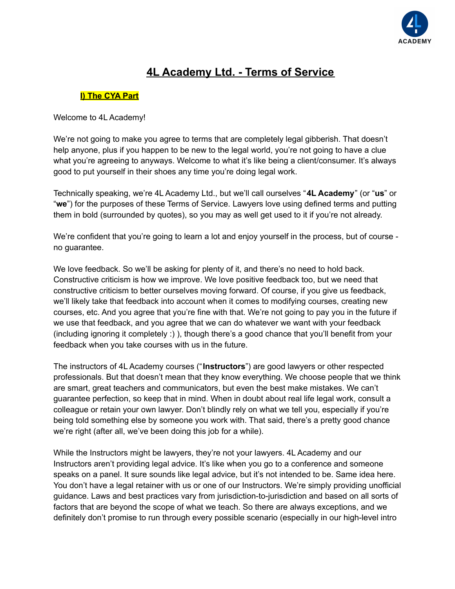

# **4L Academy Ltd. - Terms of Service**

### **I) The CYA Part**

Welcome to 4L Academy!

We're not going to make you agree to terms that are completely legal gibberish. That doesn't help anyone, plus if you happen to be new to the legal world, you're not going to have a clue what you're agreeing to anyways. Welcome to what it's like being a client/consumer. It's always good to put yourself in their shoes any time you're doing legal work.

Technically speaking, we're 4L Academy Ltd., but we'll call ourselves "**4L Academy**" (or "**us**" or "**we**") for the purposes of these Terms of Service. Lawyers love using defined terms and putting them in bold (surrounded by quotes), so you may as well get used to it if you're not already.

We're confident that you're going to learn a lot and enjoy yourself in the process, but of course no guarantee.

We love feedback. So we'll be asking for plenty of it, and there's no need to hold back. Constructive criticism is how we improve. We love positive feedback too, but we need that constructive criticism to better ourselves moving forward. Of course, if you give us feedback, we'll likely take that feedback into account when it comes to modifying courses, creating new courses, etc. And you agree that you're fine with that. We're not going to pay you in the future if we use that feedback, and you agree that we can do whatever we want with your feedback (including ignoring it completely :) ), though there's a good chance that you'll benefit from your feedback when you take courses with us in the future.

The instructors of 4L Academy courses ("**Instructors**") are good lawyers or other respected professionals. But that doesn't mean that they know everything. We choose people that we think are smart, great teachers and communicators, but even the best make mistakes. We can't guarantee perfection, so keep that in mind. When in doubt about real life legal work, consult a colleague or retain your own lawyer. Don't blindly rely on what we tell you, especially if you're being told something else by someone you work with. That said, there's a pretty good chance we're right (after all, we've been doing this job for a while).

While the Instructors might be lawyers, they're not your lawyers. 4L Academy and our Instructors aren't providing legal advice. It's like when you go to a conference and someone speaks on a panel. It sure sounds like legal advice, but it's not intended to be. Same idea here. You don't have a legal retainer with us or one of our Instructors. We're simply providing unofficial guidance. Laws and best practices vary from jurisdiction-to-jurisdiction and based on all sorts of factors that are beyond the scope of what we teach. So there are always exceptions, and we definitely don't promise to run through every possible scenario (especially in our high-level intro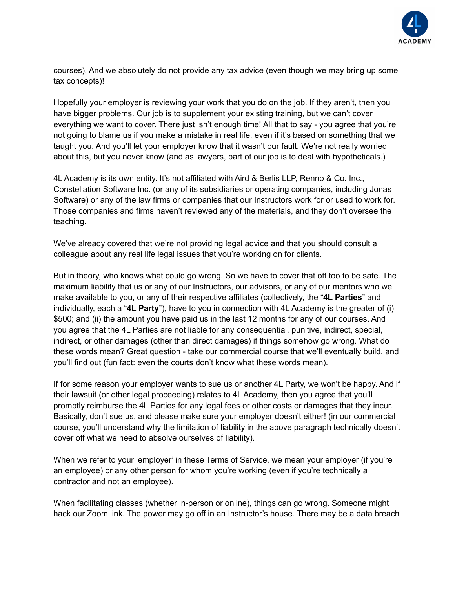

courses). And we absolutely do not provide any tax advice (even though we may bring up some tax concepts)!

Hopefully your employer is reviewing your work that you do on the job. If they aren't, then you have bigger problems. Our job is to supplement your existing training, but we can't cover everything we want to cover. There just isn't enough time! All that to say - you agree that you're not going to blame us if you make a mistake in real life, even if it's based on something that we taught you. And you'll let your employer know that it wasn't our fault. We're not really worried about this, but you never know (and as lawyers, part of our job is to deal with hypotheticals.)

4L Academy is its own entity. It's not affiliated with Aird & Berlis LLP, Renno & Co. Inc., Constellation Software Inc. (or any of its subsidiaries or operating companies, including Jonas Software) or any of the law firms or companies that our Instructors work for or used to work for. Those companies and firms haven't reviewed any of the materials, and they don't oversee the teaching.

We've already covered that we're not providing legal advice and that you should consult a colleague about any real life legal issues that you're working on for clients.

But in theory, who knows what could go wrong. So we have to cover that off too to be safe. The maximum liability that us or any of our Instructors, our advisors, or any of our mentors who we make available to you, or any of their respective affiliates (collectively, the "**4L Parties**" and individually, each a "**4L Party**"), have to you in connection with 4L Academy is the greater of (i) \$500; and (ii) the amount you have paid us in the last 12 months for any of our courses. And you agree that the 4L Parties are not liable for any consequential, punitive, indirect, special, indirect, or other damages (other than direct damages) if things somehow go wrong. What do these words mean? Great question - take our commercial course that we'll eventually build, and you'll find out (fun fact: even the courts don't know what these words mean).

If for some reason your employer wants to sue us or another 4L Party, we won't be happy. And if their lawsuit (or other legal proceeding) relates to 4L Academy, then you agree that you'll promptly reimburse the 4L Parties for any legal fees or other costs or damages that they incur. Basically, don't sue us, and please make sure your employer doesn't either! (in our commercial course, you'll understand why the limitation of liability in the above paragraph technically doesn't cover off what we need to absolve ourselves of liability).

When we refer to your 'employer' in these Terms of Service, we mean your employer (if you're an employee) or any other person for whom you're working (even if you're technically a contractor and not an employee).

When facilitating classes (whether in-person or online), things can go wrong. Someone might hack our Zoom link. The power may go off in an Instructor's house. There may be a data breach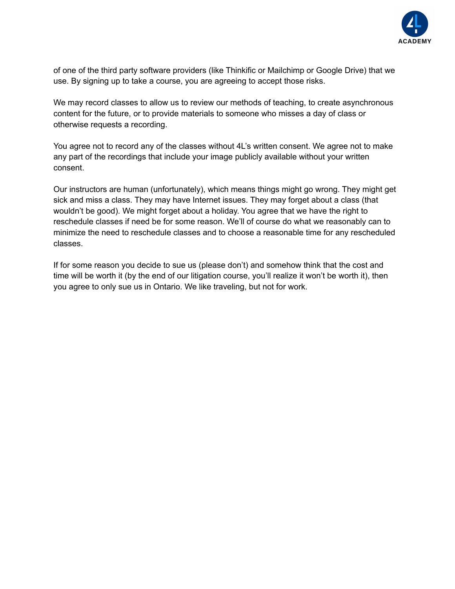

of one of the third party software providers (like Thinkific or Mailchimp or Google Drive) that we use. By signing up to take a course, you are agreeing to accept those risks.

We may record classes to allow us to review our methods of teaching, to create asynchronous content for the future, or to provide materials to someone who misses a day of class or otherwise requests a recording.

You agree not to record any of the classes without 4L's written consent. We agree not to make any part of the recordings that include your image publicly available without your written consent.

Our instructors are human (unfortunately), which means things might go wrong. They might get sick and miss a class. They may have Internet issues. They may forget about a class (that wouldn't be good). We might forget about a holiday. You agree that we have the right to reschedule classes if need be for some reason. We'll of course do what we reasonably can to minimize the need to reschedule classes and to choose a reasonable time for any rescheduled classes.

If for some reason you decide to sue us (please don't) and somehow think that the cost and time will be worth it (by the end of our litigation course, you'll realize it won't be worth it), then you agree to only sue us in Ontario. We like traveling, but not for work.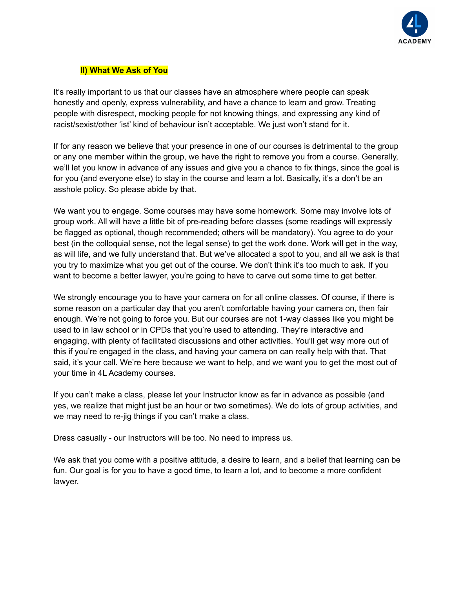

#### **II) What We Ask of You**

It's really important to us that our classes have an atmosphere where people can speak honestly and openly, express vulnerability, and have a chance to learn and grow. Treating people with disrespect, mocking people for not knowing things, and expressing any kind of racist/sexist/other 'ist' kind of behaviour isn't acceptable. We just won't stand for it.

If for any reason we believe that your presence in one of our courses is detrimental to the group or any one member within the group, we have the right to remove you from a course. Generally, we'll let you know in advance of any issues and give you a chance to fix things, since the goal is for you (and everyone else) to stay in the course and learn a lot. Basically, it's a don't be an asshole policy. So please abide by that.

We want you to engage. Some courses may have some homework. Some may involve lots of group work. All will have a little bit of pre-reading before classes (some readings will expressly be flagged as optional, though recommended; others will be mandatory). You agree to do your best (in the colloquial sense, not the legal sense) to get the work done. Work will get in the way, as will life, and we fully understand that. But we've allocated a spot to you, and all we ask is that you try to maximize what you get out of the course. We don't think it's too much to ask. If you want to become a better lawyer, you're going to have to carve out some time to get better.

We strongly encourage you to have your camera on for all online classes. Of course, if there is some reason on a particular day that you aren't comfortable having your camera on, then fair enough. We're not going to force you. But our courses are not 1-way classes like you might be used to in law school or in CPDs that you're used to attending. They're interactive and engaging, with plenty of facilitated discussions and other activities. You'll get way more out of this if you're engaged in the class, and having your camera on can really help with that. That said, it's your call. We're here because we want to help, and we want you to get the most out of your time in 4L Academy courses.

If you can't make a class, please let your Instructor know as far in advance as possible (and yes, we realize that might just be an hour or two sometimes). We do lots of group activities, and we may need to re-jig things if you can't make a class.

Dress casually - our Instructors will be too. No need to impress us.

We ask that you come with a positive attitude, a desire to learn, and a belief that learning can be fun. Our goal is for you to have a good time, to learn a lot, and to become a more confident lawyer.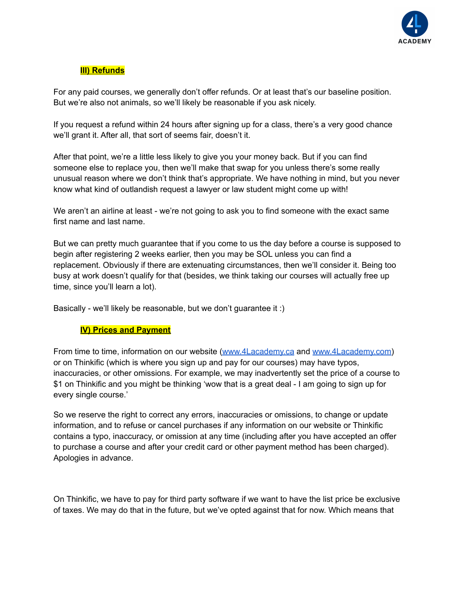

## **III) Refunds**

For any paid courses, we generally don't offer refunds. Or at least that's our baseline position. But we're also not animals, so we'll likely be reasonable if you ask nicely.

If you request a refund within 24 hours after signing up for a class, there's a very good chance we'll grant it. After all, that sort of seems fair, doesn't it.

After that point, we're a little less likely to give you your money back. But if you can find someone else to replace you, then we'll make that swap for you unless there's some really unusual reason where we don't think that's appropriate. We have nothing in mind, but you never know what kind of outlandish request a lawyer or law student might come up with!

We aren't an airline at least - we're not going to ask you to find someone with the exact same first name and last name.

But we can pretty much guarantee that if you come to us the day before a course is supposed to begin after registering 2 weeks earlier, then you may be SOL unless you can find a replacement. Obviously if there are extenuating circumstances, then we'll consider it. Being too busy at work doesn't qualify for that (besides, we think taking our courses will actually free up time, since you'll learn a lot).

Basically - we'll likely be reasonable, but we don't guarantee it :)

#### **IV) Prices and Payment**

From time to time, information on our website [\(www.4Lacademy.ca](http://www.4lacademy.ca) and [www.4Lacademy.com\)](http://www.4lacademy.com) or on Thinkific (which is where you sign up and pay for our courses) may have typos, inaccuracies, or other omissions. For example, we may inadvertently set the price of a course to \$1 on Thinkific and you might be thinking 'wow that is a great deal - I am going to sign up for every single course.'

So we reserve the right to correct any errors, inaccuracies or omissions, to change or update information, and to refuse or cancel purchases if any information on our website or Thinkific contains a typo, inaccuracy, or omission at any time (including after you have accepted an offer to purchase a course and after your credit card or other payment method has been charged). Apologies in advance.

On Thinkific, we have to pay for third party software if we want to have the list price be exclusive of taxes. We may do that in the future, but we've opted against that for now. Which means that